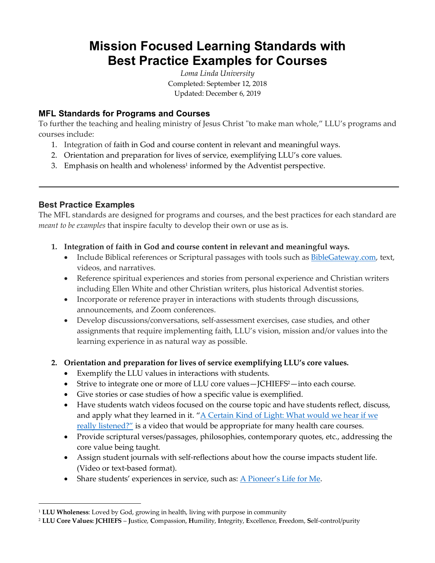# **Mission Focused Learning Standards with Best Practice Examples for Courses**

*Loma Linda University* Completed: September 12, 2018 Updated: December 6, 2019

## **MFL Standards for Programs and Courses**

To further the teaching and healing ministry of Jesus Christ "to make man whole," LLU's programs and courses include:

- 1. Integration of faith in God and course content in relevant and meaningful ways.
- 2. Orientation and preparation for lives of service, exemplifying LLU's core values.
- 3. Emphasis on health and wholeness<sup>1</sup> informed by the Adventist perspective.

### **Best Practice Examples**

 $\overline{a}$ 

The MFL standards are designed for programs and courses, and the best practices for each standard are *meant to be examples* that inspire faculty to develop their own or use as is.

- **1. Integration of faith in God and course content in relevant and meaningful ways.**
	- Include Biblical references or Scriptural passages with tools such as BibleGateway.com, text, videos, and narratives.
	- Reference spiritual experiences and stories from personal experience and Christian writers including Ellen White and other Christian writers, plus historical Adventist stories.
	- Incorporate or reference prayer in interactions with students through discussions, announcements, and Zoom conferences.
	- Develop discussions/conversations, self-assessment exercises, case studies, and other assignments that require implementing faith, LLU's vision, mission and/or values into the learning experience in as natural way as possible.

### **2. Orientation and preparation for lives of service exemplifying LLU's core values.**

- Exemplify the LLU values in interactions with students.
- Strive to integrate one or more of LLU core values—JCHIEFS<sup>2</sup>—into each course.
- Give stories or case studies of how a specific value is exemplified.
- Have students watch videos focused on the course topic and have students reflect, discuss, and apply what they learned in it. "A Certain Kind of Light: What would we hear if we really listened?" is a video that would be appropriate for many health care courses.
- Provide scriptural verses/passages, philosophies, contemporary quotes, etc., addressing the core value being taught.
- Assign student journals with self-reflections about how the course impacts student life. (Video or text-based format).
- Share students' experiences in service, such as: A Pioneer's Life for Me.

<sup>1</sup> **LLU Wholeness**: Loved by God, growing in health, living with purpose in community

<sup>2</sup> **LLU Core Values: JCHIEFS** – **J**ustice, **C**ompassion, **H**umility, **I**ntegrity, **E**xcellence, **F**reedom, **S**elf-control/purity